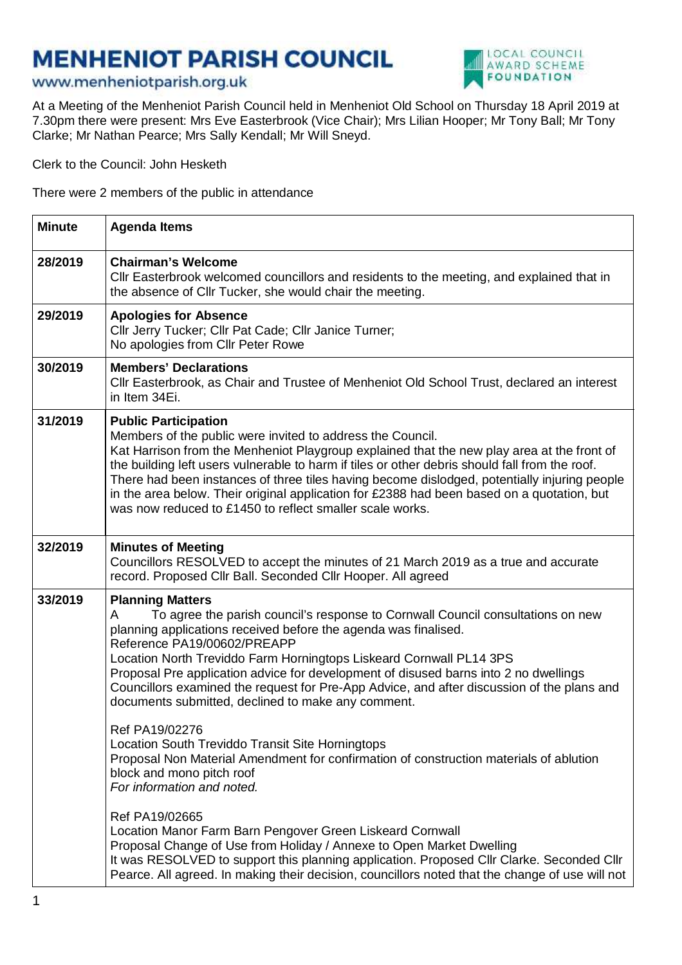## **MENHENIOT PARISH COUNCIL**



## www.menheniotparish.org.uk

At a Meeting of the Menheniot Parish Council held in Menheniot Old School on Thursday 18 April 2019 at 7.30pm there were present: Mrs Eve Easterbrook (Vice Chair); Mrs Lilian Hooper; Mr Tony Ball; Mr Tony Clarke; Mr Nathan Pearce; Mrs Sally Kendall; Mr Will Sneyd.

Clerk to the Council: John Hesketh

There were 2 members of the public in attendance

| <b>Minute</b> | <b>Agenda Items</b>                                                                                                                                                                                                                                                                                                                                                                                                                                                                                                                                 |
|---------------|-----------------------------------------------------------------------------------------------------------------------------------------------------------------------------------------------------------------------------------------------------------------------------------------------------------------------------------------------------------------------------------------------------------------------------------------------------------------------------------------------------------------------------------------------------|
| 28/2019       | <b>Chairman's Welcome</b><br>CIIr Easterbrook welcomed councillors and residents to the meeting, and explained that in<br>the absence of Cllr Tucker, she would chair the meeting.                                                                                                                                                                                                                                                                                                                                                                  |
| 29/2019       | <b>Apologies for Absence</b><br>Cllr Jerry Tucker; Cllr Pat Cade; Cllr Janice Turner;<br>No apologies from Cllr Peter Rowe                                                                                                                                                                                                                                                                                                                                                                                                                          |
| 30/2019       | <b>Members' Declarations</b><br>CIIr Easterbrook, as Chair and Trustee of Menheniot Old School Trust, declared an interest<br>in Item 34Ei.                                                                                                                                                                                                                                                                                                                                                                                                         |
| 31/2019       | <b>Public Participation</b><br>Members of the public were invited to address the Council.<br>Kat Harrison from the Menheniot Playgroup explained that the new play area at the front of<br>the building left users vulnerable to harm if tiles or other debris should fall from the roof.<br>There had been instances of three tiles having become dislodged, potentially injuring people<br>in the area below. Their original application for £2388 had been based on a quotation, but<br>was now reduced to £1450 to reflect smaller scale works. |
| 32/2019       | <b>Minutes of Meeting</b><br>Councillors RESOLVED to accept the minutes of 21 March 2019 as a true and accurate<br>record. Proposed Cllr Ball. Seconded Cllr Hooper. All agreed                                                                                                                                                                                                                                                                                                                                                                     |
| 33/2019       | <b>Planning Matters</b><br>To agree the parish council's response to Cornwall Council consultations on new<br>A<br>planning applications received before the agenda was finalised.<br>Reference PA19/00602/PREAPP<br>Location North Treviddo Farm Horningtops Liskeard Cornwall PL14 3PS<br>Proposal Pre application advice for development of disused barns into 2 no dwellings<br>Councillors examined the request for Pre-App Advice, and after discussion of the plans and<br>documents submitted, declined to make any comment.                |
|               | Ref PA19/02276<br>Location South Treviddo Transit Site Horningtops<br>Proposal Non Material Amendment for confirmation of construction materials of ablution<br>block and mono pitch roof<br>For information and noted.                                                                                                                                                                                                                                                                                                                             |
|               | Ref PA19/02665<br>Location Manor Farm Barn Pengover Green Liskeard Cornwall<br>Proposal Change of Use from Holiday / Annexe to Open Market Dwelling<br>It was RESOLVED to support this planning application. Proposed Cllr Clarke. Seconded Cllr<br>Pearce. All agreed. In making their decision, councillors noted that the change of use will not                                                                                                                                                                                                 |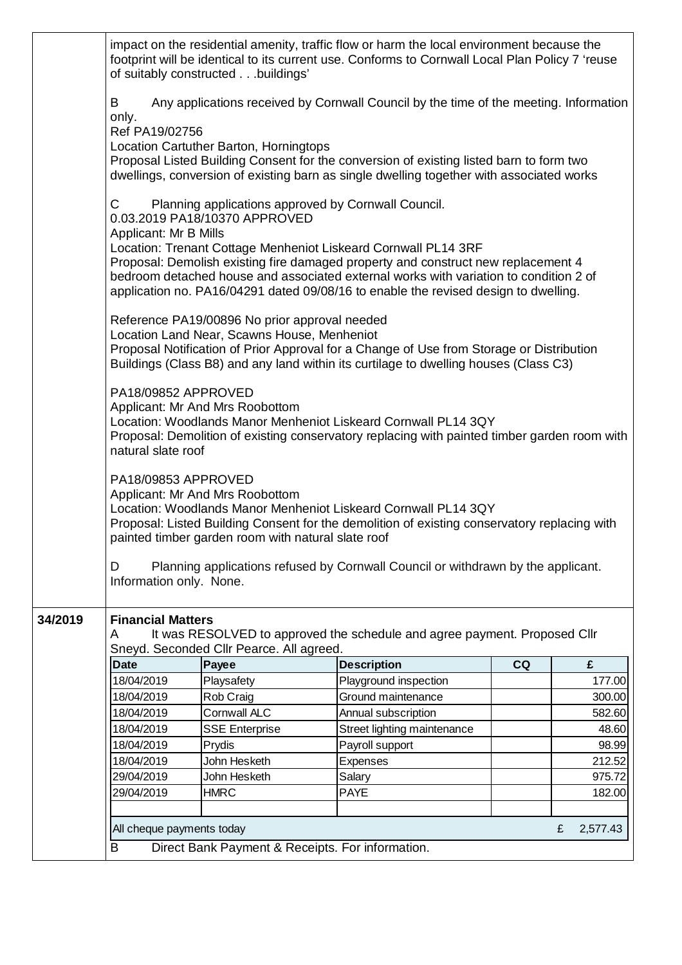|         |                                           | of suitably constructedbuildings'                                                            | impact on the residential amenity, traffic flow or harm the local environment because the<br>footprint will be identical to its current use. Conforms to Cornwall Local Plan Policy 7 'reuse                                                                                                                                        |    |   |          |
|---------|-------------------------------------------|----------------------------------------------------------------------------------------------|-------------------------------------------------------------------------------------------------------------------------------------------------------------------------------------------------------------------------------------------------------------------------------------------------------------------------------------|----|---|----------|
|         | B<br>only.<br>Ref PA19/02756              | Location Cartuther Barton, Horningtops                                                       | Any applications received by Cornwall Council by the time of the meeting. Information<br>Proposal Listed Building Consent for the conversion of existing listed barn to form two                                                                                                                                                    |    |   |          |
|         |                                           |                                                                                              | dwellings, conversion of existing barn as single dwelling together with associated works                                                                                                                                                                                                                                            |    |   |          |
|         | $\mathsf{C}$<br>Applicant: Mr B Mills     | Planning applications approved by Cornwall Council.<br>0.03.2019 PA18/10370 APPROVED         |                                                                                                                                                                                                                                                                                                                                     |    |   |          |
|         |                                           |                                                                                              | Location: Trenant Cottage Menheniot Liskeard Cornwall PL14 3RF<br>Proposal: Demolish existing fire damaged property and construct new replacement 4<br>bedroom detached house and associated external works with variation to condition 2 of<br>application no. PA16/04291 dated 09/08/16 to enable the revised design to dwelling. |    |   |          |
|         |                                           | Reference PA19/00896 No prior approval needed<br>Location Land Near, Scawns House, Menheniot | Proposal Notification of Prior Approval for a Change of Use from Storage or Distribution<br>Buildings (Class B8) and any land within its curtilage to dwelling houses (Class C3)                                                                                                                                                    |    |   |          |
|         | PA18/09852 APPROVED<br>natural slate roof | Applicant: Mr And Mrs Roobottom                                                              | Location: Woodlands Manor Menheniot Liskeard Cornwall PL14 3QY<br>Proposal: Demolition of existing conservatory replacing with painted timber garden room with                                                                                                                                                                      |    |   |          |
|         | PA18/09853 APPROVED                       | Applicant: Mr And Mrs Roobottom<br>painted timber garden room with natural slate roof        | Location: Woodlands Manor Menheniot Liskeard Cornwall PL14 3QY<br>Proposal: Listed Building Consent for the demolition of existing conservatory replacing with                                                                                                                                                                      |    |   |          |
|         | D<br>Information only. None.              |                                                                                              | Planning applications refused by Cornwall Council or withdrawn by the applicant.                                                                                                                                                                                                                                                    |    |   |          |
| 34/2019 | <b>Financial Matters</b>                  |                                                                                              |                                                                                                                                                                                                                                                                                                                                     |    |   |          |
|         | A                                         | Sneyd. Seconded Cllr Pearce. All agreed.                                                     | It was RESOLVED to approved the schedule and agree payment. Proposed Cllr                                                                                                                                                                                                                                                           |    |   |          |
|         | <b>Date</b>                               | Payee                                                                                        | <b>Description</b>                                                                                                                                                                                                                                                                                                                  | CQ |   | £        |
|         | 18/04/2019                                | Playsafety                                                                                   | Playground inspection                                                                                                                                                                                                                                                                                                               |    |   | 177.00   |
|         | 18/04/2019                                | Rob Craig                                                                                    | Ground maintenance                                                                                                                                                                                                                                                                                                                  |    |   | 300.00   |
|         | 18/04/2019                                | <b>Cornwall ALC</b>                                                                          | Annual subscription                                                                                                                                                                                                                                                                                                                 |    |   | 582.60   |
|         | 18/04/2019                                | <b>SSE Enterprise</b>                                                                        | Street lighting maintenance                                                                                                                                                                                                                                                                                                         |    |   | 48.60    |
|         | 18/04/2019                                | Prydis                                                                                       | Payroll support                                                                                                                                                                                                                                                                                                                     |    |   | 98.99    |
|         | 18/04/2019                                | John Hesketh                                                                                 | Expenses                                                                                                                                                                                                                                                                                                                            |    |   | 212.52   |
|         | 29/04/2019                                | John Hesketh                                                                                 | Salary                                                                                                                                                                                                                                                                                                                              |    |   | 975.72   |
|         | 29/04/2019                                | <b>HMRC</b>                                                                                  | <b>PAYE</b>                                                                                                                                                                                                                                                                                                                         |    |   | 182.00   |
|         |                                           |                                                                                              |                                                                                                                                                                                                                                                                                                                                     |    |   |          |
|         | All cheque payments today                 |                                                                                              |                                                                                                                                                                                                                                                                                                                                     |    | £ | 2,577.43 |
|         | B                                         | Direct Bank Payment & Receipts. For information.                                             |                                                                                                                                                                                                                                                                                                                                     |    |   |          |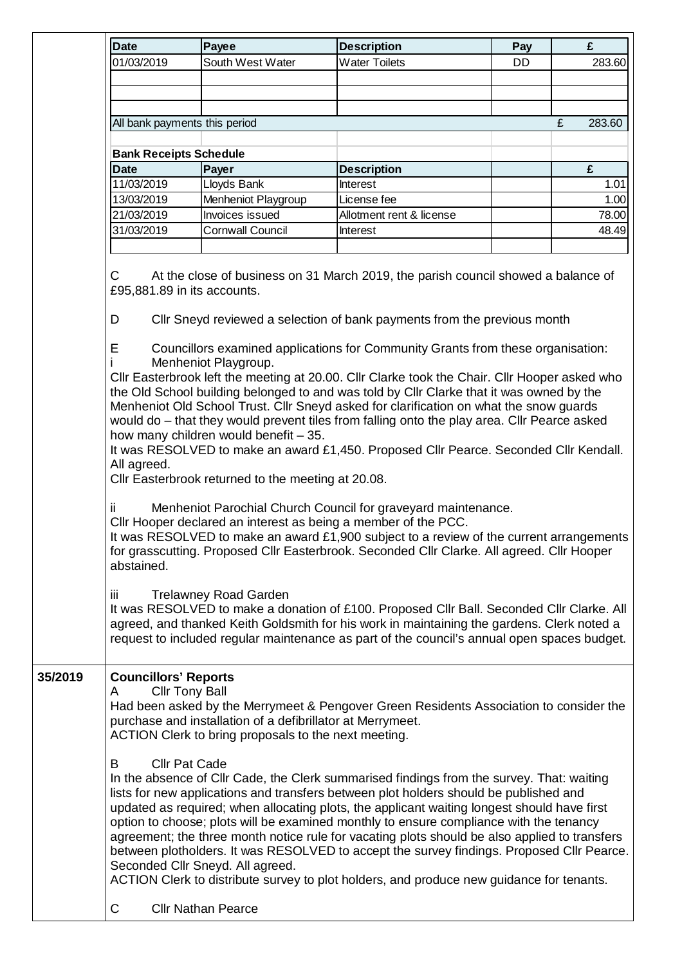| <b>Date</b>                           | Payee                                                                                                                                                               | <b>Description</b>                                                                                                                                                                                                                                                                                                                                                                                                                                                                                                                                                                                                                                                    | Pay | £           |
|---------------------------------------|---------------------------------------------------------------------------------------------------------------------------------------------------------------------|-----------------------------------------------------------------------------------------------------------------------------------------------------------------------------------------------------------------------------------------------------------------------------------------------------------------------------------------------------------------------------------------------------------------------------------------------------------------------------------------------------------------------------------------------------------------------------------------------------------------------------------------------------------------------|-----|-------------|
| 01/03/2019                            | South West Water                                                                                                                                                    | <b>Water Toilets</b>                                                                                                                                                                                                                                                                                                                                                                                                                                                                                                                                                                                                                                                  | DD. | 283.60      |
|                                       |                                                                                                                                                                     |                                                                                                                                                                                                                                                                                                                                                                                                                                                                                                                                                                                                                                                                       |     |             |
|                                       |                                                                                                                                                                     |                                                                                                                                                                                                                                                                                                                                                                                                                                                                                                                                                                                                                                                                       |     |             |
|                                       |                                                                                                                                                                     |                                                                                                                                                                                                                                                                                                                                                                                                                                                                                                                                                                                                                                                                       |     |             |
|                                       | All bank payments this period                                                                                                                                       |                                                                                                                                                                                                                                                                                                                                                                                                                                                                                                                                                                                                                                                                       |     | £<br>283.60 |
|                                       |                                                                                                                                                                     |                                                                                                                                                                                                                                                                                                                                                                                                                                                                                                                                                                                                                                                                       |     |             |
| <b>Bank Receipts Schedule</b>         |                                                                                                                                                                     |                                                                                                                                                                                                                                                                                                                                                                                                                                                                                                                                                                                                                                                                       |     |             |
| <b>Date</b>                           | Payer                                                                                                                                                               | <b>Description</b>                                                                                                                                                                                                                                                                                                                                                                                                                                                                                                                                                                                                                                                    |     | £           |
| 11/03/2019                            | Lloyds Bank                                                                                                                                                         | Interest                                                                                                                                                                                                                                                                                                                                                                                                                                                                                                                                                                                                                                                              |     | 1.01        |
| 13/03/2019                            | Menheniot Playgroup                                                                                                                                                 | License fee                                                                                                                                                                                                                                                                                                                                                                                                                                                                                                                                                                                                                                                           |     | 1.00        |
| 21/03/2019                            | Invoices issued                                                                                                                                                     | Allotment rent & license                                                                                                                                                                                                                                                                                                                                                                                                                                                                                                                                                                                                                                              |     | 78.00       |
| 31/03/2019                            | <b>Cornwall Council</b>                                                                                                                                             | <b>Interest</b>                                                                                                                                                                                                                                                                                                                                                                                                                                                                                                                                                                                                                                                       |     | 48.49       |
|                                       |                                                                                                                                                                     |                                                                                                                                                                                                                                                                                                                                                                                                                                                                                                                                                                                                                                                                       |     |             |
| D<br>Е                                | £95,881.89 in its accounts.                                                                                                                                         | CIIr Sneyd reviewed a selection of bank payments from the previous month<br>Councillors examined applications for Community Grants from these organisation:                                                                                                                                                                                                                                                                                                                                                                                                                                                                                                           |     |             |
| All agreed.                           | Menheniot Playgroup.<br>how many children would benefit - 35.<br>Cllr Easterbrook returned to the meeting at 20.08.                                                 | Cllr Easterbrook left the meeting at 20.00. Cllr Clarke took the Chair. Cllr Hooper asked who<br>the Old School building belonged to and was told by Cllr Clarke that it was owned by the<br>Menheniot Old School Trust. Cllr Sneyd asked for clarification on what the snow guards<br>would do – that they would prevent tiles from falling onto the play area. Cllr Pearce asked<br>It was RESOLVED to make an award £1,450. Proposed Cllr Pearce. Seconded Cllr Kendall.                                                                                                                                                                                           |     |             |
| ÎÎ.<br>abstained.                     |                                                                                                                                                                     | Menheniot Parochial Church Council for graveyard maintenance.<br>Cllr Hooper declared an interest as being a member of the PCC.<br>It was RESOLVED to make an award £1,900 subject to a review of the current arrangements<br>for grasscutting. Proposed Cllr Easterbrook. Seconded Cllr Clarke. All agreed. Cllr Hooper                                                                                                                                                                                                                                                                                                                                              |     |             |
| iii.                                  | <b>Trelawney Road Garden</b>                                                                                                                                        | It was RESOLVED to make a donation of £100. Proposed CIIr Ball. Seconded CIIr Clarke. All<br>agreed, and thanked Keith Goldsmith for his work in maintaining the gardens. Clerk noted a<br>request to included regular maintenance as part of the council's annual open spaces budget.                                                                                                                                                                                                                                                                                                                                                                                |     |             |
| <b>Councillors' Reports</b><br>A<br>B | <b>Cllr Tony Ball</b><br>purchase and installation of a defibrillator at Merrymeet.<br>ACTION Clerk to bring proposals to the next meeting.<br><b>Cllr Pat Cade</b> | Had been asked by the Merrymeet & Pengover Green Residents Association to consider the                                                                                                                                                                                                                                                                                                                                                                                                                                                                                                                                                                                |     |             |
|                                       | Seconded Cllr Sneyd. All agreed.                                                                                                                                    | In the absence of Cllr Cade, the Clerk summarised findings from the survey. That: waiting<br>lists for new applications and transfers between plot holders should be published and<br>updated as required; when allocating plots, the applicant waiting longest should have first<br>option to choose; plots will be examined monthly to ensure compliance with the tenancy<br>agreement; the three month notice rule for vacating plots should be also applied to transfers<br>between plotholders. It was RESOLVED to accept the survey findings. Proposed Cllr Pearce.<br>ACTION Clerk to distribute survey to plot holders, and produce new guidance for tenants. |     |             |
| С                                     | <b>Cllr Nathan Pearce</b>                                                                                                                                           |                                                                                                                                                                                                                                                                                                                                                                                                                                                                                                                                                                                                                                                                       |     |             |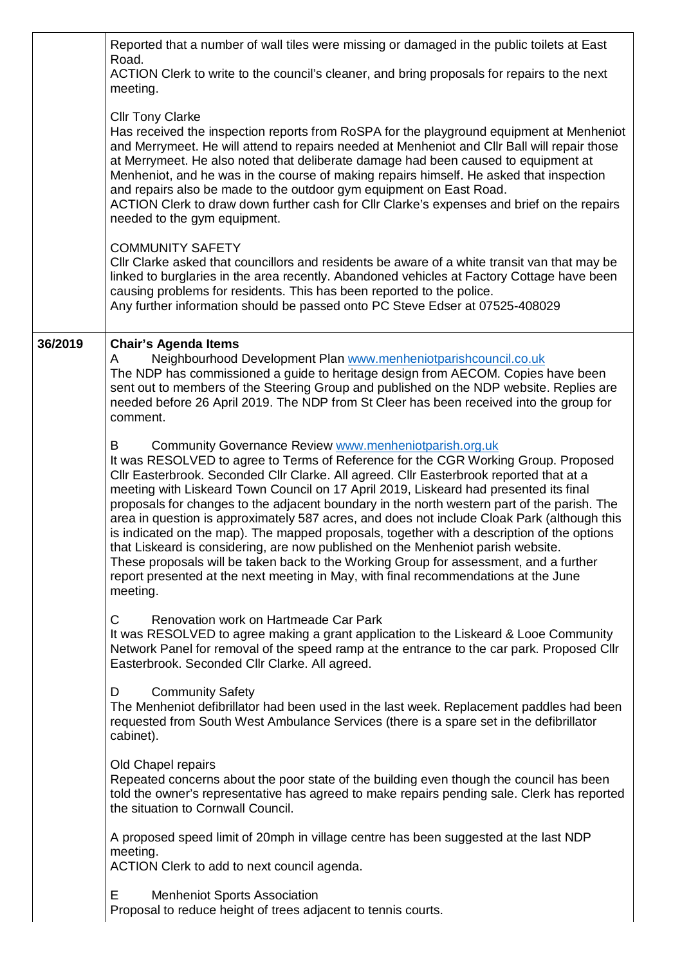|         | Reported that a number of wall tiles were missing or damaged in the public toilets at East<br>Road.                                                                                                                                                                                                                                                                                                                                                                                                                                                                                                                                                                                                                                                                                                                                                                                                               |
|---------|-------------------------------------------------------------------------------------------------------------------------------------------------------------------------------------------------------------------------------------------------------------------------------------------------------------------------------------------------------------------------------------------------------------------------------------------------------------------------------------------------------------------------------------------------------------------------------------------------------------------------------------------------------------------------------------------------------------------------------------------------------------------------------------------------------------------------------------------------------------------------------------------------------------------|
|         | ACTION Clerk to write to the council's cleaner, and bring proposals for repairs to the next<br>meeting.                                                                                                                                                                                                                                                                                                                                                                                                                                                                                                                                                                                                                                                                                                                                                                                                           |
|         | <b>Cllr Tony Clarke</b><br>Has received the inspection reports from RoSPA for the playground equipment at Menheniot<br>and Merrymeet. He will attend to repairs needed at Menheniot and CIIr Ball will repair those<br>at Merrymeet. He also noted that deliberate damage had been caused to equipment at<br>Menheniot, and he was in the course of making repairs himself. He asked that inspection<br>and repairs also be made to the outdoor gym equipment on East Road.<br>ACTION Clerk to draw down further cash for Cllr Clarke's expenses and brief on the repairs<br>needed to the gym equipment.                                                                                                                                                                                                                                                                                                         |
|         | <b>COMMUNITY SAFETY</b><br>CIIr Clarke asked that councillors and residents be aware of a white transit van that may be<br>linked to burglaries in the area recently. Abandoned vehicles at Factory Cottage have been<br>causing problems for residents. This has been reported to the police.<br>Any further information should be passed onto PC Steve Edser at 07525-408029                                                                                                                                                                                                                                                                                                                                                                                                                                                                                                                                    |
| 36/2019 | <b>Chair's Agenda Items</b><br>Neighbourhood Development Plan www.menheniotparishcouncil.co.uk<br>A<br>The NDP has commissioned a guide to heritage design from AECOM. Copies have been<br>sent out to members of the Steering Group and published on the NDP website. Replies are<br>needed before 26 April 2019. The NDP from St Cleer has been received into the group for<br>comment.                                                                                                                                                                                                                                                                                                                                                                                                                                                                                                                         |
|         | Community Governance Review www.menheniotparish.org.uk<br>B<br>It was RESOLVED to agree to Terms of Reference for the CGR Working Group. Proposed<br>Cllr Easterbrook. Seconded Cllr Clarke. All agreed. Cllr Easterbrook reported that at a<br>meeting with Liskeard Town Council on 17 April 2019, Liskeard had presented its final<br>proposals for changes to the adjacent boundary in the north western part of the parish. The<br>area in question is approximately 587 acres, and does not include Cloak Park (although this<br>is indicated on the map). The mapped proposals, together with a description of the options<br>that Liskeard is considering, are now published on the Menheniot parish website.<br>These proposals will be taken back to the Working Group for assessment, and a further<br>report presented at the next meeting in May, with final recommendations at the June<br>meeting. |
|         | C<br>Renovation work on Hartmeade Car Park<br>It was RESOLVED to agree making a grant application to the Liskeard & Looe Community<br>Network Panel for removal of the speed ramp at the entrance to the car park. Proposed Cllr<br>Easterbrook. Seconded Cllr Clarke. All agreed.                                                                                                                                                                                                                                                                                                                                                                                                                                                                                                                                                                                                                                |
|         | <b>Community Safety</b><br>D<br>The Menheniot defibrillator had been used in the last week. Replacement paddles had been<br>requested from South West Ambulance Services (there is a spare set in the defibrillator<br>cabinet).                                                                                                                                                                                                                                                                                                                                                                                                                                                                                                                                                                                                                                                                                  |
|         | Old Chapel repairs<br>Repeated concerns about the poor state of the building even though the council has been<br>told the owner's representative has agreed to make repairs pending sale. Clerk has reported<br>the situation to Cornwall Council.                                                                                                                                                                                                                                                                                                                                                                                                                                                                                                                                                                                                                                                                |
|         | A proposed speed limit of 20mph in village centre has been suggested at the last NDP<br>meeting.<br>ACTION Clerk to add to next council agenda.                                                                                                                                                                                                                                                                                                                                                                                                                                                                                                                                                                                                                                                                                                                                                                   |
|         | <b>Menheniot Sports Association</b><br>Е<br>Proposal to reduce height of trees adjacent to tennis courts.                                                                                                                                                                                                                                                                                                                                                                                                                                                                                                                                                                                                                                                                                                                                                                                                         |